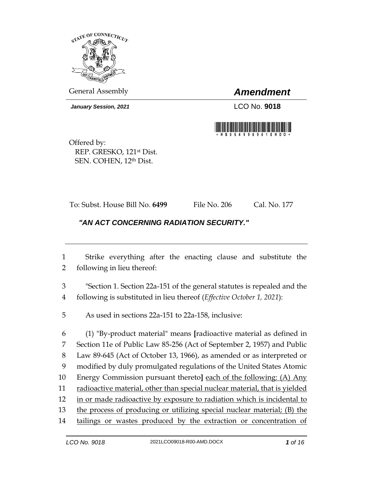

General Assembly *Amendment*

*January Session, 2021* LCO No. **9018**



Offered by: REP. GRESKO, 121st Dist. SEN. COHEN, 12th Dist.

To: Subst. House Bill No. **6499** File No. 206 Cal. No. 177

## *"AN ACT CONCERNING RADIATION SECURITY."*

1 Strike everything after the enacting clause and substitute the 2 following in lieu thereof:

3 "Section 1. Section 22a-151 of the general statutes is repealed and the 4 following is substituted in lieu thereof (*Effective October 1, 2021*):

5 As used in sections 22a-151 to 22a-158, inclusive:

 (1) "By-product material" means **[**radioactive material as defined in Section 11e of Public Law 85-256 (Act of September 2, 1957) and Public Law 89-645 (Act of October 13, 1966), as amended or as interpreted or modified by duly promulgated regulations of the United States Atomic Energy Commission pursuant thereto**]** each of the following: (A) Any 11 radioactive material, other than special nuclear material, that is yielded in or made radioactive by exposure to radiation which is incidental to 13 the process of producing or utilizing special nuclear material; (B) the 14 tailings or wastes produced by the extraction or concentration of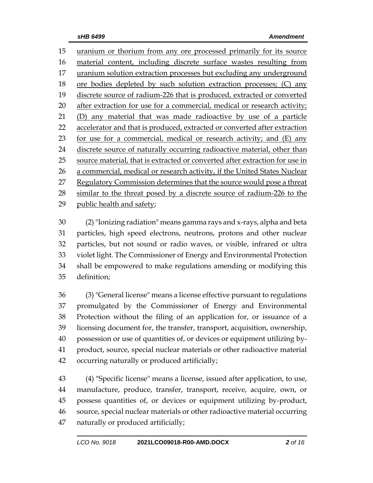uranium or thorium from any ore processed primarily for its source material content, including discrete surface wastes resulting from 17 uranium solution extraction processes but excluding any underground ore bodies depleted by such solution extraction processes; (C) any discrete source of radium-226 that is produced, extracted or converted 20 after extraction for use for a commercial, medical or research activity; (D) any material that was made radioactive by use of a particle accelerator and that is produced, extracted or converted after extraction for use for a commercial, medical or research activity; and (E) any discrete source of naturally occurring radioactive material, other than source material, that is extracted or converted after extraction for use in a commercial, medical or research activity, if the United States Nuclear 27 Regulatory Commission determines that the source would pose a threat similar to the threat posed by a discrete source of radium-226 to the public health and safety;

 (2)"Ionizing radiation" means gamma rays and x-rays, alpha and beta particles, high speed electrons, neutrons, protons and other nuclear particles, but not sound or radio waves, or visible, infrared or ultra violet light. The Commissioner of Energy and Environmental Protection shall be empowered to make regulations amending or modifying this definition;

 (3) "General license" means a license effective pursuant to regulations promulgated by the Commissioner of Energy and Environmental Protection without the filing of an application for, or issuance of a licensing document for, the transfer, transport, acquisition, ownership, possession or use of quantities of, or devices or equipment utilizing by- product, source, special nuclear materials or other radioactive material occurring naturally or produced artificially;

 (4) "Specific license" means a license, issued after application, to use, manufacture, produce, transfer, transport, receive, acquire, own, or possess quantities of, or devices or equipment utilizing by-product, source, special nuclear materials or other radioactive material occurring naturally or produced artificially;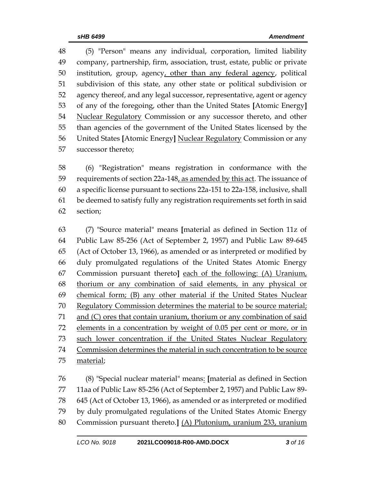(5) "Person" means any individual, corporation, limited liability company, partnership, firm, association, trust, estate, public or private institution, group, agency, other than any federal agency, political subdivision of this state, any other state or political subdivision or agency thereof, and any legal successor, representative, agent or agency of any of the foregoing, other than the United States **[**Atomic Energy**]** Nuclear Regulatory Commission or any successor thereto, and other than agencies of the government of the United States licensed by the United States **[**Atomic Energy**]** Nuclear Regulatory Commission or any successor thereto;

 (6) "Registration" means registration in conformance with the requirements of section 22a-148, as amended by this act. The issuance of a specific license pursuant to sections 22a-151 to 22a-158, inclusive, shall be deemed to satisfy fully any registration requirements set forth in said section;

 (7) "Source material" means **[**material as defined in Section 11z of Public Law 85-256 (Act of September 2, 1957) and Public Law 89-645 (Act of October 13, 1966), as amended or as interpreted or modified by duly promulgated regulations of the United States Atomic Energy Commission pursuant thereto**]** each of the following: (A) Uranium, thorium or any combination of said elements, in any physical or chemical form; (B) any other material if the United States Nuclear Regulatory Commission determines the material to be source material; and (C) ores that contain uranium, thorium or any combination of said elements in a concentration by weight of 0.05 per cent or more, or in such lower concentration if the United States Nuclear Regulatory Commission determines the material in such concentration to be source 75 material;

 (8) "Special nuclear material" means: **[**material as defined in Section 11aa of Public Law 85-256 (Act of September 2, 1957) and Public Law 89- 645 (Act of October 13, 1966), as amended or as interpreted or modified by duly promulgated regulations of the United States Atomic Energy Commission pursuant thereto.**]** (A) Plutonium, uranium 233, uranium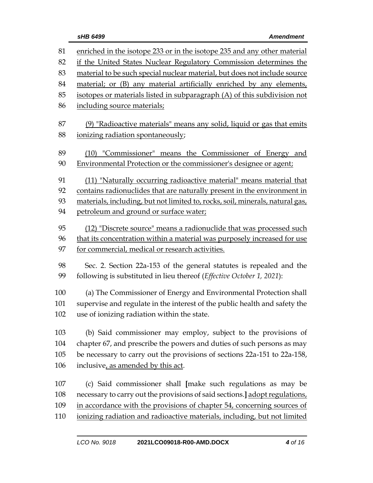| 81  | enriched in the isotope 233 or in the isotope 235 and any other material      |  |  |
|-----|-------------------------------------------------------------------------------|--|--|
| 82  | if the United States Nuclear Regulatory Commission determines the             |  |  |
| 83  | material to be such special nuclear material, but does not include source     |  |  |
| 84  | material; or (B) any material artificially enriched by any elements,          |  |  |
| 85  | isotopes or materials listed in subparagraph (A) of this subdivision not      |  |  |
| 86  | including source materials;                                                   |  |  |
| 87  | (9) "Radioactive materials" means any solid, liquid or gas that emits         |  |  |
| 88  | ionizing radiation spontaneously;                                             |  |  |
| 89  | (10) "Commissioner" means the Commissioner of Energy and                      |  |  |
| 90  | Environmental Protection or the commissioner's designee or agent;             |  |  |
| 91  | (11) "Naturally occurring radioactive material" means material that           |  |  |
| 92  | contains radionuclides that are naturally present in the environment in       |  |  |
| 93  | materials, including, but not limited to, rocks, soil, minerals, natural gas, |  |  |
| 94  | petroleum and ground or surface water;                                        |  |  |
| 95  | (12) "Discrete source" means a radionuclide that was processed such           |  |  |
| 96  | that its concentration within a material was purposely increased for use      |  |  |
| 97  | for commercial, medical or research activities.                               |  |  |
| 98  | Sec. 2. Section 22a-153 of the general statutes is repealed and the           |  |  |
| 99  | following is substituted in lieu thereof (Effective October 1, 2021):         |  |  |
| 100 | (a) The Commissioner of Energy and Environmental Protection shall             |  |  |
| 101 | supervise and regulate in the interest of the public health and safety the    |  |  |
| 102 | use of ionizing radiation within the state.                                   |  |  |
| 103 | (b) Said commissioner may employ, subject to the provisions of                |  |  |
| 104 | chapter 67, and prescribe the powers and duties of such persons as may        |  |  |
| 105 | be necessary to carry out the provisions of sections 22a-151 to 22a-158,      |  |  |
| 106 | inclusive, as amended by this act.                                            |  |  |
| 107 | (c) Said commissioner shall [make such regulations as may be                  |  |  |
| 108 | necessary to carry out the provisions of said sections.] adopt regulations,   |  |  |
| 109 | in accordance with the provisions of chapter 54, concerning sources of        |  |  |
| 110 | ionizing radiation and radioactive materials, including, but not limited      |  |  |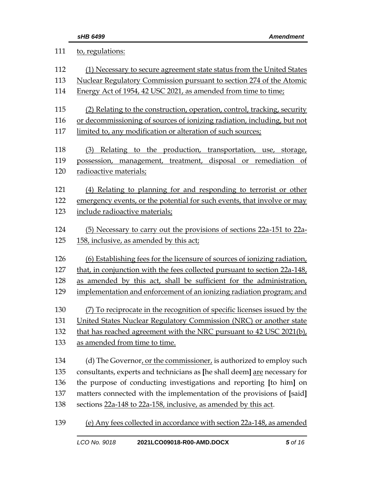| 111 | to, regulations:                                                          |  |  |
|-----|---------------------------------------------------------------------------|--|--|
| 112 | (1) Necessary to secure agreement state status from the United States     |  |  |
| 113 | Nuclear Regulatory Commission pursuant to section 274 of the Atomic       |  |  |
| 114 | Energy Act of 1954, 42 USC 2021, as amended from time to time;            |  |  |
| 115 | (2) Relating to the construction, operation, control, tracking, security  |  |  |
| 116 | or decommissioning of sources of ionizing radiation, including, but not   |  |  |
| 117 | limited to, any modification or alteration of such sources;               |  |  |
| 118 | (3) Relating to the production, transportation, use, storage,             |  |  |
| 119 | possession, management, treatment, disposal or remediation of             |  |  |
| 120 | radioactive materials;                                                    |  |  |
| 121 | (4) Relating to planning for and responding to terrorist or other         |  |  |
| 122 | emergency events, or the potential for such events, that involve or may   |  |  |
| 123 | include radioactive materials;                                            |  |  |
| 124 | (5) Necessary to carry out the provisions of sections 22a-151 to 22a-     |  |  |
| 125 | 158, inclusive, as amended by this act;                                   |  |  |
| 126 | (6) Establishing fees for the licensure of sources of ionizing radiation, |  |  |
| 127 | that, in conjunction with the fees collected pursuant to section 22a-148, |  |  |
| 128 | as amended by this act, shall be sufficient for the administration,       |  |  |
| 129 | implementation and enforcement of an ionizing radiation program; and      |  |  |
| 130 | (7) To reciprocate in the recognition of specific licenses issued by the  |  |  |
| 131 | United States Nuclear Regulatory Commission (NRC) or another state        |  |  |
| 132 | that has reached agreement with the NRC pursuant to 42 USC 2021(b),       |  |  |
| 133 | as amended from time to time.                                             |  |  |
| 134 | (d) The Governor, or the commissioner, is authorized to employ such       |  |  |
| 135 | consultants, experts and technicians as [he shall deem] are necessary for |  |  |
| 136 | the purpose of conducting investigations and reporting [to him] on        |  |  |
| 137 | matters connected with the implementation of the provisions of [said]     |  |  |
| 138 | sections 22a-148 to 22a-158, inclusive, as amended by this act.           |  |  |
| 139 | (e) Any fees collected in accordance with section 22a-148, as amended     |  |  |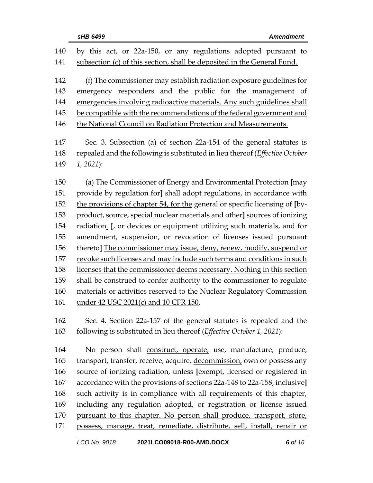| 140 | by this act, or 22a-150, or any regulations adopted pursuant to              |  |  |
|-----|------------------------------------------------------------------------------|--|--|
| 141 | subsection (c) of this section, shall be deposited in the General Fund.      |  |  |
|     |                                                                              |  |  |
| 142 | (f) The commissioner may establish radiation exposure guidelines for         |  |  |
| 143 | emergency responders and the public for the management of                    |  |  |
| 144 | emergencies involving radioactive materials. Any such guidelines shall       |  |  |
| 145 | be compatible with the recommendations of the federal government and         |  |  |
| 146 | the National Council on Radiation Protection and Measurements.               |  |  |
|     |                                                                              |  |  |
| 147 | Sec. 3. Subsection (a) of section 22a-154 of the general statutes is         |  |  |
| 148 | repealed and the following is substituted in lieu thereof (Effective October |  |  |
| 149 | $1, 2021$ :                                                                  |  |  |
| 150 | (a) The Commissioner of Energy and Environmental Protection [may             |  |  |
| 151 | provide by regulation for] shall adopt regulations, in accordance with       |  |  |
| 152 | the provisions of chapter 54, for the general or specific licensing of [by-  |  |  |
| 153 | product, source, special nuclear materials and other] sources of ionizing    |  |  |
| 154 | radiation. [, or devices or equipment utilizing such materials, and for      |  |  |
| 155 | amendment, suspension, or revocation of licenses issued pursuant             |  |  |
| 156 | thereto] The commissioner may issue, deny, renew, modify, suspend or         |  |  |
| 157 | revoke such licenses and may include such terms and conditions in such       |  |  |
| 158 | licenses that the commissioner deems necessary. Nothing in this section      |  |  |
| 159 | shall be construed to confer authority to the commissioner to regulate       |  |  |
| 160 | materials or activities reserved to the Nuclear Regulatory Commission        |  |  |
| 161 | under 42 USC 2021(c) and 10 CFR 150.                                         |  |  |
|     |                                                                              |  |  |
| 162 | Sec. 4. Section 22a-157 of the general statutes is repealed and the          |  |  |
| 163 | following is substituted in lieu thereof (Effective October 1, 2021):        |  |  |
|     |                                                                              |  |  |
| 164 | No person shall construct, operate, use, manufacture, produce,               |  |  |
| 165 | transport, transfer, receive, acquire, decommission, own or possess any      |  |  |
| 166 | source of ionizing radiation, unless [exempt, licensed or registered in      |  |  |
| 167 | accordance with the provisions of sections 22a-148 to 22a-158, inclusive]    |  |  |
| 168 | such activity is in compliance with all requirements of this chapter,        |  |  |
| 169 | including any regulation adopted, or registration or license issued          |  |  |
| 170 | pursuant to this chapter. No person shall produce, transport, store,         |  |  |
| 171 | possess, manage, treat, remediate, distribute, sell, install, repair or      |  |  |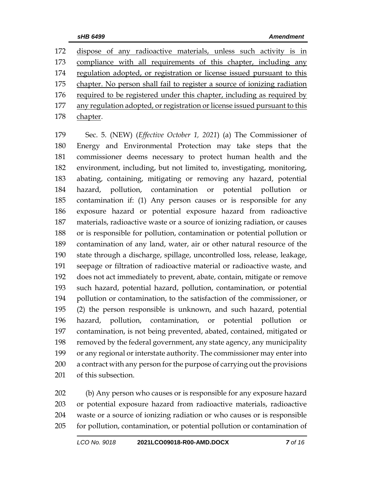dispose of any radioactive materials, unless such activity is in compliance with all requirements of this chapter, including any regulation adopted, or registration or license issued pursuant to this chapter. No person shall fail to register a source of ionizing radiation 176 required to be registered under this chapter, including as required by 177 any regulation adopted, or registration or license issued pursuant to this chapter.

 Sec. 5. (NEW) (*Effective October 1, 2021*) (a) The Commissioner of Energy and Environmental Protection may take steps that the commissioner deems necessary to protect human health and the environment, including, but not limited to, investigating, monitoring, abating, containing, mitigating or removing any hazard, potential 184 hazard, pollution, contamination or potential pollution contamination if: (1) Any person causes or is responsible for any exposure hazard or potential exposure hazard from radioactive materials, radioactive waste or a source of ionizing radiation, or causes or is responsible for pollution, contamination or potential pollution or contamination of any land, water, air or other natural resource of the state through a discharge, spillage, uncontrolled loss, release, leakage, seepage or filtration of radioactive material or radioactive waste, and does not act immediately to prevent, abate, contain, mitigate or remove such hazard, potential hazard, pollution, contamination, or potential pollution or contamination, to the satisfaction of the commissioner, or (2) the person responsible is unknown, and such hazard, potential hazard, pollution, contamination, or potential pollution or contamination, is not being prevented, abated, contained, mitigated or removed by the federal government, any state agency, any municipality or any regional or interstate authority. The commissioner may enter into a contract with any person for the purpose of carrying out the provisions of this subsection.

 (b) Any person who causes or is responsible for any exposure hazard or potential exposure hazard from radioactive materials, radioactive waste or a source of ionizing radiation or who causes or is responsible for pollution, contamination, or potential pollution or contamination of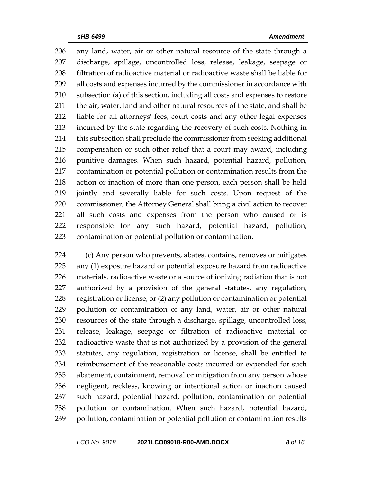any land, water, air or other natural resource of the state through a discharge, spillage, uncontrolled loss, release, leakage, seepage or filtration of radioactive material or radioactive waste shall be liable for all costs and expenses incurred by the commissioner in accordance with subsection (a) of this section, including all costs and expenses to restore the air, water, land and other natural resources of the state, and shall be liable for all attorneys' fees, court costs and any other legal expenses incurred by the state regarding the recovery of such costs. Nothing in this subsection shall preclude the commissioner from seeking additional compensation or such other relief that a court may award, including punitive damages. When such hazard, potential hazard, pollution, contamination or potential pollution or contamination results from the action or inaction of more than one person, each person shall be held jointly and severally liable for such costs. Upon request of the commissioner, the Attorney General shall bring a civil action to recover all such costs and expenses from the person who caused or is responsible for any such hazard, potential hazard, pollution, contamination or potential pollution or contamination.

 (c) Any person who prevents, abates, contains, removes or mitigates any (1) exposure hazard or potential exposure hazard from radioactive materials, radioactive waste or a source of ionizing radiation that is not authorized by a provision of the general statutes, any regulation, registration or license, or (2) any pollution or contamination or potential pollution or contamination of any land, water, air or other natural resources of the state through a discharge, spillage, uncontrolled loss, release, leakage, seepage or filtration of radioactive material or radioactive waste that is not authorized by a provision of the general statutes, any regulation, registration or license, shall be entitled to reimbursement of the reasonable costs incurred or expended for such abatement, containment, removal or mitigation from any person whose negligent, reckless, knowing or intentional action or inaction caused such hazard, potential hazard, pollution, contamination or potential pollution or contamination. When such hazard, potential hazard, 239 pollution, contamination or potential pollution or contamination results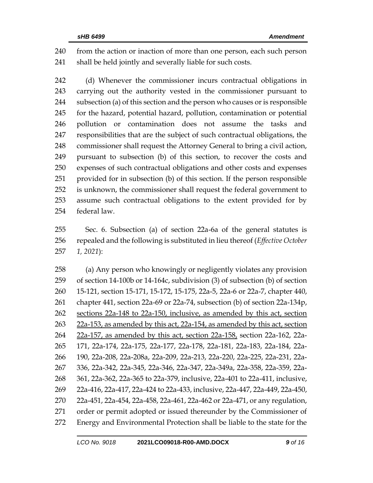from the action or inaction of more than one person, each such person shall be held jointly and severally liable for such costs.

 (d) Whenever the commissioner incurs contractual obligations in carrying out the authority vested in the commissioner pursuant to subsection (a) of this section and the person who causes or is responsible for the hazard, potential hazard, pollution, contamination or potential pollution or contamination does not assume the tasks and responsibilities that are the subject of such contractual obligations, the commissioner shall request the Attorney General to bring a civil action, pursuant to subsection (b) of this section, to recover the costs and expenses of such contractual obligations and other costs and expenses provided for in subsection (b) of this section. If the person responsible is unknown, the commissioner shall request the federal government to assume such contractual obligations to the extent provided for by federal law.

 Sec. 6. Subsection (a) of section 22a-6a of the general statutes is repealed and the following is substituted in lieu thereof (*Effective October 1, 2021*):

 (a) Any person who knowingly or negligently violates any provision of section 14-100b or 14-164c, subdivision (3) of subsection (b) of section 15-121, section 15-171, 15-172, 15-175, 22a-5, 22a-6 or 22a-7, chapter 440, chapter 441, section 22a-69 or 22a-74, subsection (b) of section 22a-134p, sections 22a-148 to 22a-150, inclusive, as amended by this act, section 22a-153, as amended by this act, 22a-154, as amended by this act, section 22a-157, as amended by this act, section 22a-158, section 22a-162, 22a- 171, 22a-174, 22a-175, 22a-177, 22a-178, 22a-181, 22a-183, 22a-184, 22a- 190, 22a-208, 22a-208a, 22a-209, 22a-213, 22a-220, 22a-225, 22a-231, 22a- 336, 22a-342, 22a-345, 22a-346, 22a-347, 22a-349a, 22a-358, 22a-359, 22a- 361, 22a-362, 22a-365 to 22a-379, inclusive, 22a-401 to 22a-411, inclusive, 22a-416, 22a-417, 22a-424 to 22a-433, inclusive, 22a-447, 22a-449, 22a-450, 22a-451, 22a-454, 22a-458, 22a-461, 22a-462 or 22a-471, or any regulation, order or permit adopted or issued thereunder by the Commissioner of Energy and Environmental Protection shall be liable to the state for the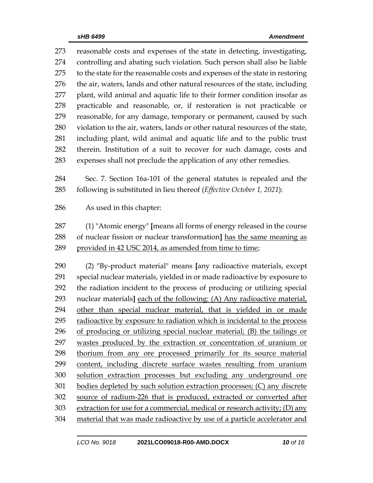reasonable costs and expenses of the state in detecting, investigating, controlling and abating such violation. Such person shall also be liable 275 to the state for the reasonable costs and expenses of the state in restoring the air, waters, lands and other natural resources of the state, including plant, wild animal and aquatic life to their former condition insofar as practicable and reasonable, or, if restoration is not practicable or reasonable, for any damage, temporary or permanent, caused by such violation to the air, waters, lands or other natural resources of the state, including plant, wild animal and aquatic life and to the public trust therein. Institution of a suit to recover for such damage, costs and expenses shall not preclude the application of any other remedies.

 Sec. 7. Section 16a-101 of the general statutes is repealed and the following is substituted in lieu thereof (*Effective October 1, 2021*):

As used in this chapter:

 (1) "Atomic energy" **[**means all forms of energy released in the course of nuclear fission or nuclear transformation**]** has the same meaning as provided in 42 USC 2014, as amended from time to time;

 (2) "By-product material" means **[**any radioactive materials, except special nuclear materials, yielded in or made radioactive by exposure to the radiation incident to the process of producing or utilizing special nuclear materials**]** each of the following: (A) Any radioactive material, other than special nuclear material, that is yielded in or made 295 radioactive by exposure to radiation which is incidental to the process of producing or utilizing special nuclear material; (B) the tailings or 297 wastes produced by the extraction or concentration of uranium or thorium from any ore processed primarily for its source material content, including discrete surface wastes resulting from uranium solution extraction processes but excluding any underground ore bodies depleted by such solution extraction processes; (C) any discrete source of radium-226 that is produced, extracted or converted after extraction for use for a commercial, medical or research activity; (D) any material that was made radioactive by use of a particle accelerator and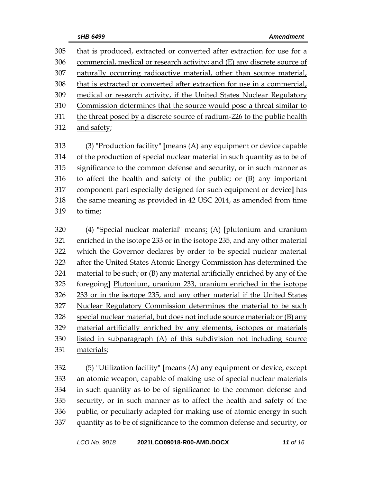that is produced, extracted or converted after extraction for use for a commercial, medical or research activity; and (E) any discrete source of naturally occurring radioactive material, other than source material, that is extracted or converted after extraction for use in a commercial, medical or research activity, if the United States Nuclear Regulatory Commission determines that the source would pose a threat similar to the threat posed by a discrete source of radium-226 to the public health and safety;

 (3) "Production facility" **[**means (A) any equipment or device capable of the production of special nuclear material in such quantity as to be of significance to the common defense and security, or in such manner as to affect the health and safety of the public; or (B) any important component part especially designed for such equipment or device**]** has the same meaning as provided in 42 USC 2014, as amended from time to time;

 (4) "Special nuclear material" means: (A) **[**plutonium and uranium enriched in the isotope 233 or in the isotope 235, and any other material which the Governor declares by order to be special nuclear material after the United States Atomic Energy Commission has determined the material to be such; or (B) any material artificially enriched by any of the foregoing**]** Plutonium, uranium 233, uranium enriched in the isotope 233 or in the isotope 235, and any other material if the United States Nuclear Regulatory Commission determines the material to be such special nuclear material, but does not include source material; or (B) any material artificially enriched by any elements, isotopes or materials listed in subparagraph (A) of this subdivision not including source materials;

 (5) "Utilization facility" **[**means (A) any equipment or device, except an atomic weapon, capable of making use of special nuclear materials in such quantity as to be of significance to the common defense and security, or in such manner as to affect the health and safety of the public, or peculiarly adapted for making use of atomic energy in such quantity as to be of significance to the common defense and security, or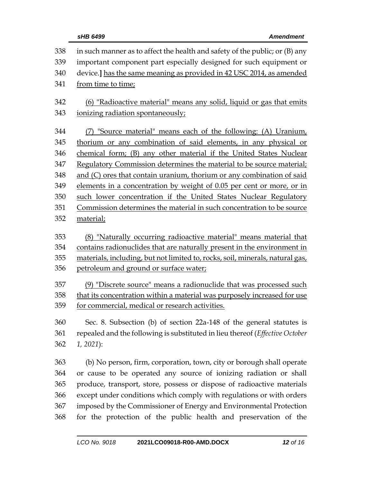| 338<br>339<br>340<br>341 | in such manner as to affect the health and safety of the public; or (B) any<br>important component part especially designed for such equipment or<br>device.] has the same meaning as provided in 42 USC 2014, as amended<br>from time to time; |
|--------------------------|-------------------------------------------------------------------------------------------------------------------------------------------------------------------------------------------------------------------------------------------------|
| 342                      | (6) "Radioactive material" means any solid, liquid or gas that emits                                                                                                                                                                            |
| 343                      | ionizing radiation spontaneously;                                                                                                                                                                                                               |
| 344                      | (7) "Source material" means each of the following: (A) Uranium,                                                                                                                                                                                 |
| 345                      | thorium or any combination of said elements, in any physical or                                                                                                                                                                                 |
| 346                      | chemical form; (B) any other material if the United States Nuclear                                                                                                                                                                              |
| 347                      | Regulatory Commission determines the material to be source material;                                                                                                                                                                            |
| 348                      | and (C) ores that contain uranium, thorium or any combination of said                                                                                                                                                                           |
| 349                      | elements in a concentration by weight of 0.05 per cent or more, or in                                                                                                                                                                           |
| 350                      | such lower concentration if the United States Nuclear Regulatory                                                                                                                                                                                |
| 351                      | Commission determines the material in such concentration to be source                                                                                                                                                                           |
| 352                      | material;                                                                                                                                                                                                                                       |
| 353<br>354<br>355<br>356 | (8) "Naturally occurring radioactive material" means material that<br>contains radionuclides that are naturally present in the environment in<br>materials, including, but not limited to, rocks, soil, minerals, natural gas,                  |
|                          | petroleum and ground or surface water;                                                                                                                                                                                                          |
| 357                      | (9) "Discrete source" means a radionuclide that was processed such                                                                                                                                                                              |
| 358                      | that its concentration within a material was purposely increased for use                                                                                                                                                                        |
| 359                      | for commercial, medical or research activities.                                                                                                                                                                                                 |
| 360                      | Sec. 8. Subsection (b) of section 22a-148 of the general statutes is                                                                                                                                                                            |
| 361                      | repealed and the following is substituted in lieu thereof (Effective October                                                                                                                                                                    |
| 362                      | $1, 2021$ :                                                                                                                                                                                                                                     |
| 363                      | (b) No person, firm, corporation, town, city or borough shall operate                                                                                                                                                                           |
| 364                      | or cause to be operated any source of ionizing radiation or shall                                                                                                                                                                               |
| 365                      | produce, transport, store, possess or dispose of radioactive materials                                                                                                                                                                          |
| 366                      | except under conditions which comply with regulations or with orders                                                                                                                                                                            |
| 367                      | imposed by the Commissioner of Energy and Environmental Protection                                                                                                                                                                              |
| 368                      | for the protection of the public health and preservation of the                                                                                                                                                                                 |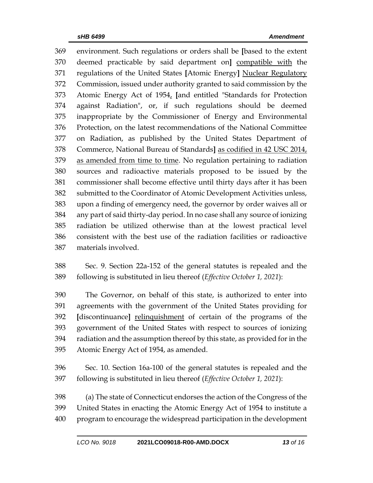environment. Such regulations or orders shall be **[**based to the extent deemed practicable by said department on**]** compatible with the regulations of the United States **[**Atomic Energy**]** Nuclear Regulatory Commission, issued under authority granted to said commission by the Atomic Energy Act of 1954, **[**and entitled "Standards for Protection against Radiation", or, if such regulations should be deemed inappropriate by the Commissioner of Energy and Environmental Protection, on the latest recommendations of the National Committee on Radiation, as published by the United States Department of Commerce, National Bureau of Standards**]** as codified in 42 USC 2014, 379 as amended from time to time. No regulation pertaining to radiation sources and radioactive materials proposed to be issued by the commissioner shall become effective until thirty days after it has been submitted to the Coordinator of Atomic Development Activities unless, upon a finding of emergency need, the governor by order waives all or any part of said thirty-day period. In no case shall any source of ionizing radiation be utilized otherwise than at the lowest practical level consistent with the best use of the radiation facilities or radioactive materials involved.

 Sec. 9. Section 22a-152 of the general statutes is repealed and the following is substituted in lieu thereof (*Effective October 1, 2021*):

 The Governor, on behalf of this state, is authorized to enter into agreements with the government of the United States providing for **[**discontinuance**]** relinquishment of certain of the programs of the government of the United States with respect to sources of ionizing radiation and the assumption thereof by this state, as provided for in the Atomic Energy Act of 1954, as amended.

 Sec. 10. Section 16a-100 of the general statutes is repealed and the following is substituted in lieu thereof (*Effective October 1, 2021*):

 (a) The state of Connecticut endorses the action of the Congress of the United States in enacting the Atomic Energy Act of 1954 to institute a program to encourage the widespread participation in the development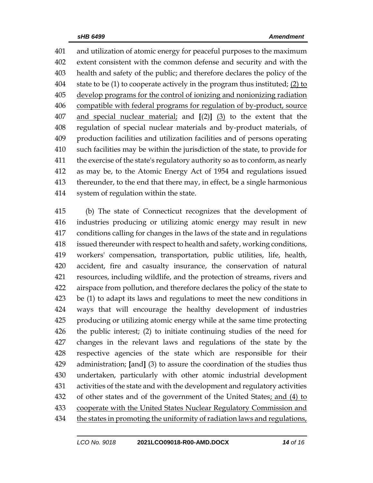and utilization of atomic energy for peaceful purposes to the maximum extent consistent with the common defense and security and with the health and safety of the public; and therefore declares the policy of the state to be (1) to cooperate actively in the program thus instituted; (2) to develop programs for the control of ionizing and nonionizing radiation compatible with federal programs for regulation of by-product, source and special nuclear material; and **[**(2)**]** (3) to the extent that the regulation of special nuclear materials and by-product materials, of production facilities and utilization facilities and of persons operating such facilities may be within the jurisdiction of the state, to provide for the exercise of the state's regulatory authority so as to conform, as nearly as may be, to the Atomic Energy Act of 1954 and regulations issued thereunder, to the end that there may, in effect, be a single harmonious system of regulation within the state.

 (b) The state of Connecticut recognizes that the development of industries producing or utilizing atomic energy may result in new conditions calling for changes in the laws of the state and in regulations issued thereunder with respect to health and safety, working conditions, workers' compensation, transportation, public utilities, life, health, accident, fire and casualty insurance, the conservation of natural resources, including wildlife, and the protection of streams, rivers and airspace from pollution, and therefore declares the policy of the state to be (1) to adapt its laws and regulations to meet the new conditions in ways that will encourage the healthy development of industries producing or utilizing atomic energy while at the same time protecting the public interest; (2) to initiate continuing studies of the need for changes in the relevant laws and regulations of the state by the respective agencies of the state which are responsible for their administration; **[**and**]** (3) to assure the coordination of the studies thus undertaken, particularly with other atomic industrial development activities of the state and with the development and regulatory activities of other states and of the government of the United States; and (4) to 433 cooperate with the United States Nuclear Regulatory Commission and 434 the states in promoting the uniformity of radiation laws and regulations,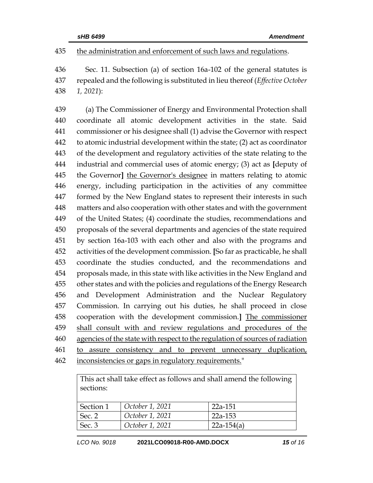## the administration and enforcement of such laws and regulations.

 Sec. 11. Subsection (a) of section 16a-102 of the general statutes is repealed and the following is substituted in lieu thereof (*Effective October 1, 2021*):

 (a) The Commissioner of Energy and Environmental Protection shall coordinate all atomic development activities in the state. Said commissioner or his designee shall (1) advise the Governor with respect to atomic industrial development within the state; (2) act as coordinator of the development and regulatory activities of the state relating to the industrial and commercial uses of atomic energy; (3) act as **[**deputy of the Governor**]** the Governor's designee in matters relating to atomic energy, including participation in the activities of any committee formed by the New England states to represent their interests in such matters and also cooperation with other states and with the government of the United States; (4) coordinate the studies, recommendations and proposals of the several departments and agencies of the state required by section 16a-103 with each other and also with the programs and activities of the development commission. **[**So far as practicable, he shall coordinate the studies conducted, and the recommendations and proposals made, in this state with like activities in the New England and other states and with the policies and regulations of the Energy Research and Development Administration and the Nuclear Regulatory Commission. In carrying out his duties, he shall proceed in close cooperation with the development commission.**]** The commissioner 459 shall consult with and review regulations and procedures of the agencies of the state with respect to the regulation of sources of radiation to assure consistency and to prevent unnecessary duplication,

inconsistencies or gaps in regulatory requirements."

| This act shall take effect as follows and shall amend the following<br>sections: |                 |              |  |  |  |
|----------------------------------------------------------------------------------|-----------------|--------------|--|--|--|
| Section 1                                                                        | October 1, 2021 | 22a-151      |  |  |  |
| Sec. 2                                                                           | October 1, 2021 | $22a-153$    |  |  |  |
| Sec. 3                                                                           | October 1, 2021 | $22a-154(a)$ |  |  |  |